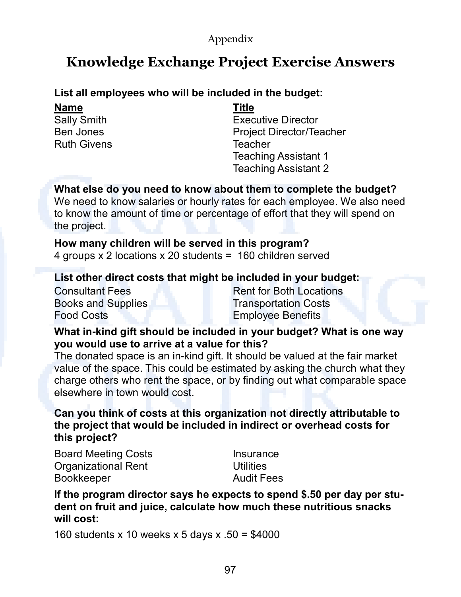### **Appendix**

## **Knowledge Exchange Project Exercise Answers**

## **List all employees who will be included in the budget:**

**Name** Sally Smith Ben Jones Ruth Givens **Title**

Executive Director Project Director/Teacher **Teacher** Teaching Assistant 1 Teaching Assistant 2

#### **What else do you need to know about them to complete the budget?**

We need to know salaries or hourly rates for each employee. We also need to know the amount of time or percentage of effort that they will spend on the project.

#### **How many children will be served in this program?** 4 groups x 2 locations x 20 students = 160 children served

## **List other direct costs that might be included in your budget:**

Consultant Fees Books and Supplies Food Costs

Rent for Both Locations Transportation Costs Employee Benefits

#### **What in-kind gift should be included in your budget? What is one way you would use to arrive at a value for this?**

The donated space is an in-kind gift. It should be valued at the fair market value of the space. This could be estimated by asking the church what they charge others who rent the space, or by finding out what comparable space elsewhere in town would cost.

**Can you think of costs at this organization not directly attributable to the project that would be included in indirect or overhead costs for this project?**

Board Meeting Costs Organizational Rent Bookkeeper

Insurance **Utilities** Audit Fees

**If the program director says he expects to spend \$.50 per day per student on fruit and juice, calculate how much these nutritious snacks will cost:**

160 students x 10 weeks x 5 days x .50 = \$4000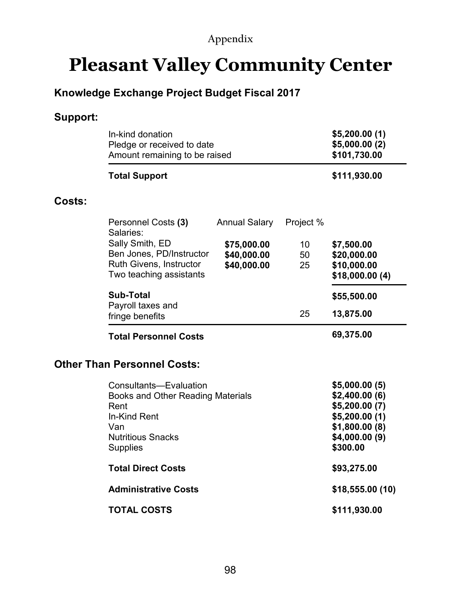## **Appendix**

# **Pleasant Valley Community Center**

## **Knowledge Exchange Project Budget Fiscal 2017**

## **Support:**

|        | In-kind donation<br>Pledge or received to date<br>Amount remaining to be raised |                      |                 | \$5,200.00(1)<br>\$5,000.00(2)<br>\$101,730.00 |
|--------|---------------------------------------------------------------------------------|----------------------|-----------------|------------------------------------------------|
|        | <b>Total Support</b>                                                            |                      |                 | \$111,930.00                                   |
| Costs: |                                                                                 |                      |                 |                                                |
|        | Personnel Costs (3)<br>Salaries:                                                | <b>Annual Salary</b> | Project %       |                                                |
|        | Sally Smith, ED                                                                 | \$75,000.00          | 10 <sup>°</sup> | \$7,500.00                                     |
|        | Ben Jones, PD/Instructor                                                        | \$40,000.00          | 50              | \$20,000.00                                    |
|        | Ruth Givens, Instructor<br>Two teaching assistants                              | \$40,000.00          | 25              | \$10,000.00<br>\$18,000.00(4)                  |
|        | <b>Sub-Total</b>                                                                |                      |                 | \$55,500.00                                    |
|        | Payroll taxes and<br>fringe benefits                                            |                      | 25              | 13,875.00                                      |
|        | <b>Total Personnel Costs</b>                                                    |                      |                 | 69,375.00                                      |
|        | <b>Other Than Personnel Costs:</b>                                              |                      |                 |                                                |
|        | Consultants-Evaluation                                                          |                      |                 | \$5,000.00(5)                                  |
|        | Books and Other Reading Materials                                               |                      |                 | \$2,400.00(6)                                  |
|        | Rent                                                                            |                      |                 | \$5,200.00 (7)                                 |
|        | In-Kind Rent<br>Van                                                             |                      |                 | \$5,200.00(1)                                  |
|        | <b>Nutritious Snacks</b>                                                        |                      |                 | \$1,800.00(8)<br>\$4,000.00(9)                 |
|        | <b>Supplies</b>                                                                 |                      |                 | \$300.00                                       |
|        | <b>Total Direct Costs</b>                                                       |                      |                 | \$93,275.00                                    |
|        | <b>Administrative Costs</b>                                                     |                      |                 | \$18,555.00 (10)                               |
|        | <b>TOTAL COSTS</b>                                                              |                      |                 | \$111,930.00                                   |